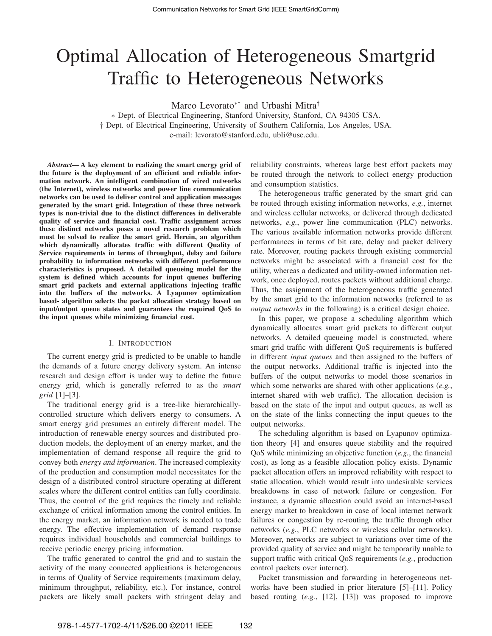# Optimal Allocation of Heterogeneous Smartgrid Traffic to Heterogeneous Networks

Marco Levorato∗† and Urbashi Mitra†

∗ Dept. of Electrical Engineering, Stanford University, Stanford, CA 94305 USA. † Dept. of Electrical Engineering, University of Southern California, Los Angeles, USA. e-mail: levorato@stanford.edu, ubli@usc.edu.

*Abstract***— A key element to realizing the smart energy grid of the future is the deployment of an efficient and reliable information network. An intelligent combination of wired networks (the Internet), wireless networks and power line communication networks can be used to deliver control and application messages generated by the smart grid. Integration of these three network types is non-trivial due to the distinct differences in deliverable quality of service and financial cost. Traffic assignment across these distinct networks poses a novel research problem which must be solved to realize the smart grid. Herein, an algorithm which dynamically allocates traffic with different Quality of Service requirements in terms of throughput, delay and failure probability to information networks with different performance characteristics is proposed. A detailed queueing model for the system is defined which accounts for input queues buffering smart grid packets and external applications injecting traffic into the buffers of the networks. A Lyapunov optimization based- algorithm selects the packet allocation strategy based on input/output queue states and guarantees the required QoS to the input queues while minimizing financial cost.**

## I. INTRODUCTION

The current energy grid is predicted to be unable to handle the demands of a future energy delivery system. An intense research and design effort is under way to define the future energy grid, which is generally referred to as the *smart grid* [1]–[3].

The traditional energy grid is a tree-like hierarchicallycontrolled structure which delivers energy to consumers. A smart energy grid presumes an entirely different model. The introduction of renewable energy sources and distributed production models, the deployment of an energy market, and the implementation of demand response all require the grid to convey both *energy and information*. The increased complexity of the production and consumption model necessitates for the design of a distributed control structure operating at different scales where the different control entities can fully coordinate. Thus, the control of the grid requires the timely and reliable exchange of critical information among the control entities. In the energy market, an information network is needed to trade energy. The effective implementation of demand response requires individual households and commercial buildings to receive periodic energy pricing information.

The traffic generated to control the grid and to sustain the activity of the many connected applications is heterogeneous in terms of Quality of Service requirements (maximum delay, minimum throughput, reliability, etc.). For instance, control packets are likely small packets with stringent delay and reliability constraints, whereas large best effort packets may be routed through the network to collect energy production and consumption statistics.

The heterogeneous traffic generated by the smart grid can be routed through existing information networks, *e.g.*, internet and wireless cellular networks, or delivered through dedicated networks, *e.g.*, power line communication (PLC) networks. The various available information networks provide different performances in terms of bit rate, delay and packet delivery rate. Moreover, routing packets through existing commercial networks might be associated with a financial cost for the utility, whereas a dedicated and utility-owned information network, once deployed, routes packets without additional charge. Thus, the assignment of the heterogeneous traffic generated by the smart grid to the information networks (referred to as *output networks* in the following) is a critical design choice.

In this paper, we propose a scheduling algorithm which dynamically allocates smart grid packets to different output networks. A detailed queueing model is constructed, where smart grid traffic with different QoS requirements is buffered in different *input queues* and then assigned to the buffers of the output networks. Additional traffic is injected into the buffers of the output networks to model those scenarios in which some networks are shared with other applications (*e.g.*, internet shared with web traffic). The allocation decision is based on the state of the input and output queues, as well as on the state of the links connecting the input queues to the output networks.

The scheduling algorithm is based on Lyapunov optimization theory [4] and ensures queue stability and the required QoS while minimizing an objective function (*e.g.*, the financial cost), as long as a feasible allocation policy exists. Dynamic packet allocation offers an improved reliability with respect to static allocation, which would result into undesirable services breakdowns in case of network failure or congestion. For instance, a dynamic allocation could avoid an internet-based energy market to breakdown in case of local internet network failures or congestion by re-routing the traffic through other networks (*e.g.*, PLC networks or wireless cellular networks). Moreover, networks are subject to variations over time of the provided quality of service and might be temporarily unable to support traffic with critical QoS requirements (*e.g.*, production control packets over internet).

Packet transmission and forwarding in heterogeneous networks have been studied in prior literature [5]–[11]. Policy based routing (*e.g.*, [12], [13]) was proposed to improve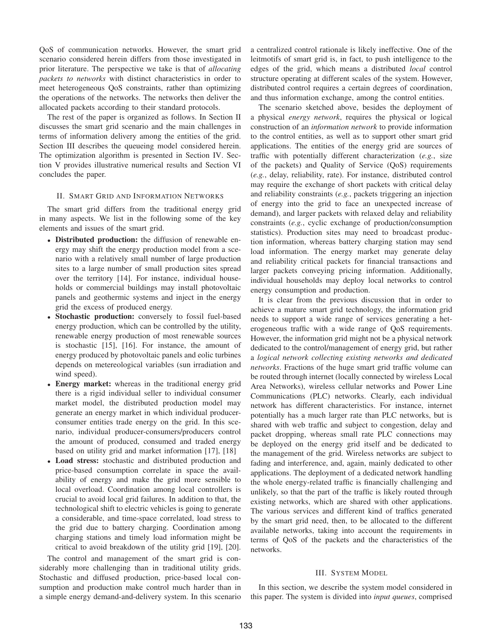QoS of communication networks. However, the smart grid scenario considered herein differs from those investigated in prior literature. The perspective we take is that of *allocating packets to networks* with distinct characteristics in order to meet heterogeneous QoS constraints, rather than optimizing the operations of the networks. The networks then deliver the allocated packets according to their standard protocols.

The rest of the paper is organized as follows. In Section II discusses the smart grid scenario and the main challenges in terms of information delivery among the entities of the grid. Section III describes the queueing model considered herein. The optimization algorithm is presented in Section IV. Section V provides illustrative numerical results and Section VI concludes the paper.

## II. SMART GRID AND INFORMATION NETWORKS

The smart grid differs from the traditional energy grid in many aspects. We list in the following some of the key elements and issues of the smart grid.

- **Distributed production:** the diffusion of renewable energy may shift the energy production model from a scenario with a relatively small number of large production sites to a large number of small production sites spread over the territory [14]. For instance, individual households or commercial buildings may install photovoltaic panels and geothermic systems and inject in the energy grid the excess of produced energy.
- **Stochastic production:** conversely to fossil fuel-based energy production, which can be controlled by the utility, renewable energy production of most renewable sources is stochastic [15], [16]. For instance, the amount of energy produced by photovoltaic panels and eolic turbines depends on metereological variables (sun irradiation and wind speed).
- **Energy market:** whereas in the traditional energy grid there is a rigid individual seller to individual consumer market model, the distributed production model may generate an energy market in which individual producerconsumer entities trade energy on the grid. In this scenario, individual producer-consumers/producers control the amount of produced, consumed and traded energy based on utility grid and market information [17], [18]
- **Load stress:** stochastic and distributed production and price-based consumption correlate in space the availability of energy and make the grid more sensible to local overload. Coordination among local controllers is crucial to avoid local grid failures. In addition to that, the technological shift to electric vehicles is going to generate a considerable, and time-space correlated, load stress to the grid due to battery charging. Coordination among charging stations and timely load information might be critical to avoid breakdown of the utility grid [19], [20].

The control and management of the smart grid is considerably more challenging than in traditional utility grids. Stochastic and diffused production, price-based local consumption and production make control much harder than in a simple energy demand-and-delivery system. In this scenario a centralized control rationale is likely ineffective. One of the leitmotifs of smart grid is, in fact, to push intelligence to the edges of the grid, which means a distributed *local* control structure operating at different scales of the system. However, distributed control requires a certain degrees of coordination, and thus information exchange, among the control entities.

The scenario sketched above, besides the deployment of a physical *energy network*, requires the physical or logical construction of an *information network* to provide information to the control entities, as well as to support other smart grid applications. The entities of the energy grid are sources of traffic with potentially different characterization (*e.g.*, size of the packets) and Quality of Service (QoS) requirements (*e.g.*, delay, reliability, rate). For instance, distributed control may require the exchange of short packets with critical delay and reliability constraints (*e.g.*, packets triggering an injection of energy into the grid to face an unexpected increase of demand), and larger packets with relaxed delay and reliability constraints (*e.g.*, cyclic exchange of production/consumption statistics). Production sites may need to broadcast production information, whereas battery charging station may send load information. The energy market may generate delay and reliability critical packets for financial transactions and larger packets conveying pricing information. Additionally, individual households may deploy local networks to control energy consumption and production.

It is clear from the previous discussion that in order to achieve a mature smart grid technology, the information grid needs to support a wide range of services generating a heterogeneous traffic with a wide range of QoS requirements. However, the information grid might not be a physical network dedicated to the control/management of energy grid, but rather a *logical network collecting existing networks and dedicated networks*. Fractions of the huge smart grid traffic volume can be routed through internet (locally connected by wireless Local Area Networks), wireless cellular networks and Power Line Communications (PLC) networks. Clearly, each individual network has different characteristics. For instance, internet potentially has a much larger rate than PLC networks, but is shared with web traffic and subject to congestion, delay and packet dropping, whereas small rate PLC connections may be deployed on the energy grid itself and be dedicated to the management of the grid. Wireless networks are subject to fading and interference, and, again, mainly dedicated to other applications. The deployment of a dedicated network handling the whole energy-related traffic is financially challenging and unlikely, so that the part of the traffic is likely routed through existing networks, which are shared with other applications. The various services and different kind of traffics generated by the smart grid need, then, to be allocated to the different available networks, taking into account the requirements in terms of QoS of the packets and the characteristics of the networks.

## III. SYSTEM MODEL

In this section, we describe the system model considered in this paper. The system is divided into *input queues*, comprised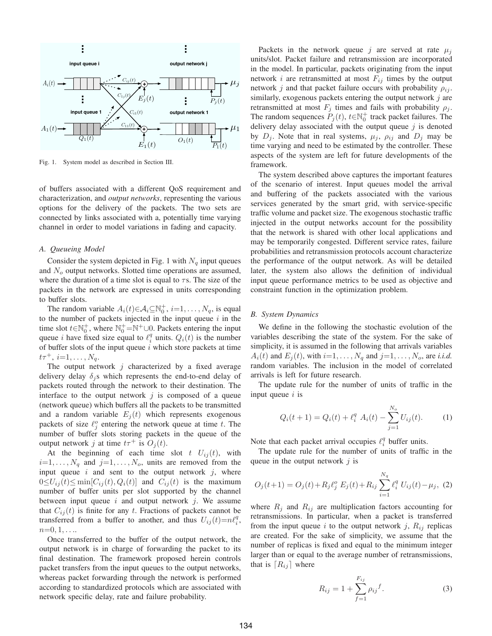

Fig. 1. System model as described in Section III.

of buffers associated with a different QoS requirement and characterization, and *output networks*, representing the various options for the delivery of the packets. The two sets are connected by links associated with a, potentially time varying channel in order to model variations in fading and capacity.

### *A. Queueing Model*

Consider the system depicted in Fig. 1 with  $N_q$  input queues and  $N<sub>o</sub>$  output networks. Slotted time operations are assumed, where the duration of a time slot is equal to  $\tau$ s. The size of the packets in the network are expressed in units corresponding to buffer slots.

The random variable  $A_i(t) \in \mathcal{A}_i \subseteq \mathbb{N}_0^+, i = 1, \dots, N_q$ , is equal to the number of packets injected in the input queue  $i$  in the time slot  $t \in \mathbb{N}_0^+$ , where  $\mathbb{N}_0^+ = \mathbb{N}^+ \cup 0$ . Packets entering the input queue *i* have fixed size equal to  $\ell_i^q$  units.  $Q_i(t)$  is the number of buffer slots of the input queue  $i$  which store packets at time  $t\tau^+, i=1,\ldots, N_q.$ 

The output network  $j$  characterized by a fixed average delivery delay  $\delta_i$ s which represents the end-to-end delay of packets routed through the network to their destination. The interface to the output network  $j$  is composed of a queue (network queue) which buffers all the packets to be transmitted and a random variable  $E_i(t)$  which represents exogenous packets of size  $\ell_j^o$  entering the network queue at time t. The number of buffer slots storing packets in the queue of the output network j at time  $t\tau^+$  is  $O_i(t)$ .

At the beginning of each time slot  $t U_{ij}(t)$ , with  $i=1,\ldots, N_q$  and  $j=1,\ldots, N_o$ , units are removed from the input queue  $i$  and sent to the output network  $j$ , where  $0 \le U_{ij}(t) \le \min[C_{ij}(t), Q_i(t)]$  and  $C_{ij}(t)$  is the maximum number of buffer units per slot supported by the channel between input queue  $i$  and output network  $j$ . We assume that  $C_{ij}(t)$  is finite for any t. Fractions of packets cannot be transferred from a buffer to another, and thus  $U_{ij}(t) = n\ell_i^q$ ,  $n=0, 1, \ldots$ 

Once transferred to the buffer of the output network, the output network is in charge of forwarding the packet to its final destination. The framework proposed herein controls packet transfers from the input queues to the output networks, whereas packet forwarding through the network is performed according to standardized protocols which are associated with network specific delay, rate and failure probability.

Packets in the network queue j are served at rate  $\mu_i$ units/slot. Packet failure and retransmission are incorporated in the model. In particular, packets originating from the input network *i* are retransmitted at most  $F_{ij}$  times by the output network j and that packet failure occurs with probability  $\rho_{ij}$ . similarly, exogenous packets entering the output network  $j$  are retransmitted at most  $F_i$  times and fails with probability  $\rho_i$ . The random sequences  $P_j(t)$ ,  $t \in \mathbb{N}_0^+$  track packet failures. The delivery delay associated with the output queue  $j$  is denoted by  $D_j$ . Note that in real systems,  $\mu_j$ ,  $\rho_{ij}$  and  $D_j$  may be time varying and need to be estimated by the controller. These aspects of the system are left for future developments of the framework.

The system described above captures the important features of the scenario of interest. Input queues model the arrival and buffering of the packets associated with the various services generated by the smart grid, with service-specific traffic volume and packet size. The exogenous stochastic traffic injected in the output networks account for the possibility that the network is shared with other local applications and may be temporarily congested. Different service rates, failure probabilities and retransmission protocols account characterize the performance of the output network. As will be detailed later, the system also allows the definition of individual input queue performance metrics to be used as objective and constraint function in the optimization problem.

## *B. System Dynamics*

We define in the following the stochastic evolution of the variables describing the state of the system. For the sake of simplicity, it is assumed in the following that arrivals variables  $A_i(t)$  and  $E_j(t)$ , with  $i=1,\ldots,N_q$  and  $j=1,\ldots,N_o$ , are *i.i.d.* random variables. The inclusion in the model of correlated arrivals is left for future research.

The update rule for the number of units of traffic in the input queue  $i$  is

$$
Q_i(t+1) = Q_i(t) + \ell_i^q A_i(t) - \sum_{j=1}^{N_o} U_{ij}(t).
$$
 (1)

Note that each packet arrival occupies  $\ell_i^q$  buffer units.

The update rule for the number of units of traffic in the queue in the output network  $j$  is

$$
O_j(t+1) = O_j(t) + R_j \ell_j^o E_j(t) + R_{ij} \sum_{i=1}^{N_q} \ell_i^q U_{ij}(t) - \mu_j,
$$
 (2)

where  $R_j$  and  $R_{ij}$  are multiplication factors accounting for retransmissions. In particular, when a packet is transferred from the input queue i to the output network j,  $R_{ij}$  replicas are created. For the sake of simplicity, we assume that the number of replicas is fixed and equal to the minimum integer larger than or equal to the average number of retransmissions, that is  $[R_{ij}]$  where

$$
R_{ij} = 1 + \sum_{f=1}^{F_{ij}} \rho_{ij}{}^f.
$$
 (3)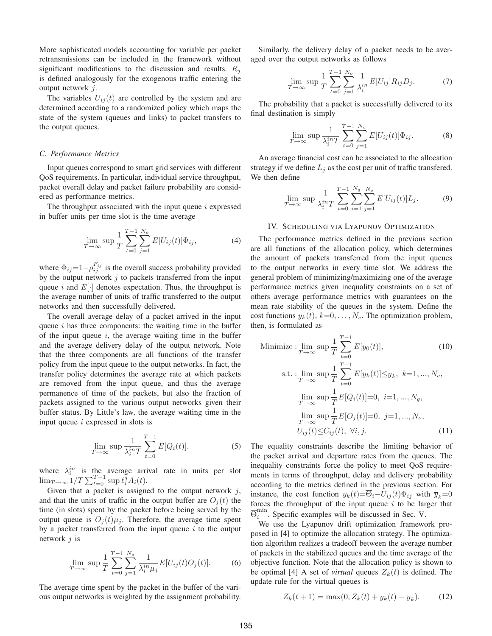More sophisticated models accounting for variable per packet retransmissions can be included in the framework without significant modifications to the discussion and results.  $R_i$ is defined analogously for the exogenous traffic entering the output network  $j$ .

The variables  $U_{ij}(t)$  are controlled by the system and are determined according to a randomized policy which maps the state of the system (queues and links) to packet transfers to the output queues.

#### *C. Performance Metrics*

Input queues correspond to smart grid services with different QoS requirements. In particular, individual service throughput, packet overall delay and packet failure probability are considered as performance metrics.

The throughput associated with the input queue  $i$  expressed in buffer units per time slot is the time average

$$
\lim_{T \to \infty} \sup \frac{1}{T} \sum_{t=0}^{T-1} \sum_{j=1}^{N_o} E[U_{ij}(t)] \Phi_{ij},
$$
\n(4)

where  $\Phi_{ij} = 1 - \rho_{ij}^{F_{ij}}$  is the overall success probability provided by the output network  $j$  to packets transferred from the input queue i and  $E[\cdot]$  denotes expectation. Thus, the throughput is the average number of units of traffic transferred to the output networks and then successfully delivered.

The overall average delay of a packet arrived in the input queue  $i$  has three components: the waiting time in the buffer of the input queue  $i$ , the average waiting time in the buffer and the average delivery delay of the output network. Note that the three components are all functions of the transfer policy from the input queue to the output networks. In fact, the transfer policy determines the average rate at which packets are removed from the input queue, and thus the average permanence of time of the packets, but also the fraction of packets assigned to the various output networks given their buffer status. By Little's law, the average waiting time in the input queue i expressed in slots is

$$
\lim_{T \to \infty} \sup \frac{1}{\lambda_i^{in} T} \sum_{t=0}^{T-1} E[Q_i(t)].
$$
\n(5)

where  $\lambda_i^{in}$  is the average arrival rate in units per slot  $\lim_{T\to\infty} \int_T^1/T \sum_{t=0}^{T-1} \sup \mathcal{C}_i^q A_i(t).$ 

Given that a packet is assigned to the output network  $j$ , and that the units of traffic in the output buffer are  $O_i(t)$  the time (in slots) spent by the packet before being served by the output queue is  $O_i(t)\mu_i$ . Therefore, the average time spent by a packet transferred from the input queue  $i$  to the output network  $j$  is

$$
\lim_{T \to \infty} \sup \frac{1}{T} \sum_{t=0}^{T-1} \sum_{j=1}^{N_o} \frac{1}{\lambda_i^{in} \mu_j} E[U_{ij}(t) O_j(t)].
$$
 (6)

The average time spent by the packet in the buffer of the various output networks is weighted by the assignment probability.

Similarly, the delivery delay of a packet needs to be averaged over the output networks as follows

$$
\lim_{T \to \infty} \sup \frac{1}{T} \sum_{t=0}^{T-1} \sum_{j=1}^{N_o} \frac{1}{\lambda_i^{in}} E[U_{ij}] R_{ij} D_j.
$$
 (7)

The probability that a packet is successfully delivered to its final destination is simply

$$
\lim_{T \to \infty} \sup \frac{1}{\lambda_i^{in} T} \sum_{t=0}^{T-1} \sum_{j=1}^{N_o} E[U_{ij}(t)] \Phi_{ij}.
$$
 (8)

An average financial cost can be associated to the allocation strategy if we define  $L_j$  as the cost per unit of traffic transfered. We then define

$$
\lim_{T \to \infty} \sup \frac{1}{\lambda_i^{in} T} \sum_{t=0}^{T-1} \sum_{i=1}^{N_q} \sum_{j=1}^{N_o} E[U_{ij}(t)] L_j.
$$
 (9)

## IV. SCHEDULING VIA LYAPUNOV OPTIMIZATION

The performance metrics defined in the previous section are all functions of the allocation policy, which determines the amount of packets transferred from the input queues to the output networks in every time slot. We address the general problem of minimizing/maximizing one of the average performance metrics given inequality constraints on a set of others average performance metrics with guarantees on the mean rate stability of the queues in the system. Define the cost functions  $y_k(t)$ ,  $k=0, \ldots, N_c$ . The optimization problem, then, is formulated as

Minimize: 
$$
\lim_{T \to \infty} \sup \frac{1}{T} \sum_{t=0}^{T-1} E[y_0(t)],
$$
 (10)  
s.t.:  $\lim_{T \to \infty} \sup \frac{1}{T} \sum_{t=0}^{T-1} E[y_k(t)] \leq \overline{y}_k$ ,  $k=1,..., N_c$ ,  
 $\lim_{T \to \infty} \sup \frac{1}{T} E[Q_i(t)] = 0$ ,  $i=1,..., N_q$ ,  
 $\lim_{T \to \infty} \sup \frac{1}{T} E[O_j(t)] = 0$ ,  $j=1,..., N_o$ ,  
 $U_{ij}(t) \leq C_{ij}(t)$ ,  $\forall i, j$ . (11)

The equality constraints describe the limiting behavior of the packet arrival and departure rates from the queues. The inequality constraints force the policy to meet QoS requirements in terms of throughput, delay and delivery probability according to the metrics defined in the previous section. For instance, the cost function  $y_k(t)=\overline{\Theta}_i-U_{ij}(t)\Phi_{ij}$  with  $\overline{y}_k=0$ forces the throughput of the input queue  $i$  to be larger that  $\overline{\Theta}_i^{\min}$  $\sum_{i=1}^{n}$ . Specific examples will be discussed in Sec. V.

We use the Lyapunov drift optimization framework proposed in [4] to optimize the allocation strategy. The optimization algorithm realizes a tradeoff between the average number of packets in the stabilized queues and the time average of the objective function. Note that the allocation policy is shown to be optimal [4] A set of *virtual* queues  $Z_k(t)$  is defined. The update rule for the virtual queues is

$$
Z_k(t+1) = \max(0, Z_k(t) + y_k(t) - \overline{y}_k). \tag{12}
$$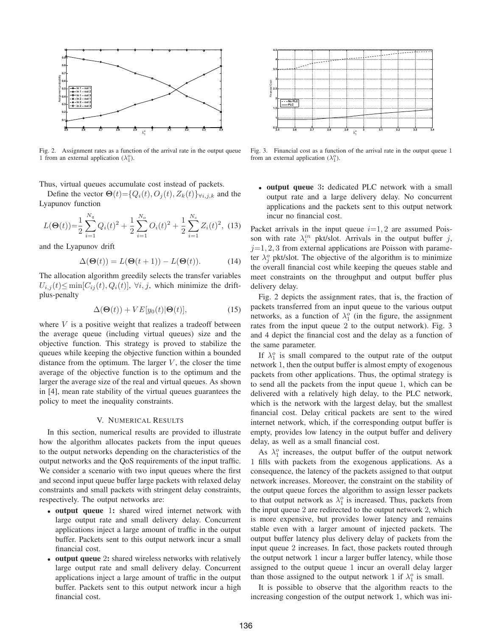

Fig. 2. Assignment rates as a function of the arrival rate in the output queue 1 from an external application  $(\lambda_1^o)$ .

Thus, virtual queues accumulate cost instead of packets.

Define the vector  $\Theta(t) = \{Q_i(t), O_j(t), Z_k(t)\}\forall i, j, k$  and the Lyapunov function

$$
L(\Theta(t)) = \frac{1}{2} \sum_{i=1}^{N_q} Q_i(t)^2 + \frac{1}{2} \sum_{i=1}^{N_o} O_i(t)^2 + \frac{1}{2} \sum_{i=1}^{N_c} Z_i(t)^2, \tag{13}
$$

and the Lyapunov drift

$$
\Delta(\Theta(t)) = L(\Theta(t+1)) - L(\Theta(t)). \tag{14}
$$

The allocation algorithm greedily selects the transfer variables  $U_{i,j}(t) \leq \min[C_{ij}(t), Q_i(t)]$ ,  $\forall i, j$ , which minimize the driftplus-penalty

$$
\Delta(\Theta(t)) + VE[y_0(t)|\Theta(t)],\tag{15}
$$

where  $V$  is a positive weight that realizes a tradeoff between the average queue (including virtual queues) size and the objective function. This strategy is proved to stabilize the queues while keeping the objective function within a bounded distance from the optimum. The larger  $V$ , the closer the time average of the objective function is to the optimum and the larger the average size of the real and virtual queues. As shown in [4], mean rate stability of the virtual queues guarantees the policy to meet the inequality constraints.

## V. NUMERICAL RESULTS

In this section, numerical results are provided to illustrate how the algorithm allocates packets from the input queues to the output networks depending on the characteristics of the output networks and the QoS requirements of the input traffic. We consider a scenario with two input queues where the first and second input queue buffer large packets with relaxed delay constraints and small packets with stringent delay constraints, respectively. The output networks are:

- **output queue** 1**:** shared wired internet network with large output rate and small delivery delay. Concurrent applications inject a large amount of traffic in the output buffer. Packets sent to this output network incur a small financial cost.
- **output queue** 2: shared wireless networks with relatively large output rate and small delivery delay. Concurrent applications inject a large amount of traffic in the output buffer. Packets sent to this output network incur a high financial cost.



Fig. 3. Financial cost as a function of the arrival rate in the output queue 1 from an external application  $(\lambda_1^o)$ .

• **output queue** 3**:** dedicated PLC network with a small output rate and a large delivery delay. No concurrent applications and the packets sent to this output network incur no financial cost.

Packet arrivals in the input queue  $i=1, 2$  are assumed Poisson with rate  $\lambda_i^{in}$  pkt/slot. Arrivals in the output buffer j,  $j=1, 2, 3$  from external applications are Poisson with parameter  $\lambda_j^o$  pkt/slot. The objective of the algorithm is to minimize the overall financial cost while keeping the queues stable and meet constraints on the throughput and output buffer plus delivery delay.

Fig. 2 depicts the assignment rates, that is, the fraction of packets transferred from an input queue to the various output networks, as a function of  $\lambda_1^o$  (in the figure, the assignment rates from the input queue 2 to the output network). Fig. 3 and 4 depict the financial cost and the delay as a function of the same parameter.

If  $\lambda_1^o$  is small compared to the output rate of the output network 1, then the output buffer is almost empty of exogenous packets from other applications. Thus, the optimal strategy is to send all the packets from the input queue 1, which can be delivered with a relatively high delay, to the PLC network, which is the network with the largest delay, but the smallest financial cost. Delay critical packets are sent to the wired internet network, which, if the corresponding output buffer is empty, provides low latency in the output buffer and delivery delay, as well as a small financial cost.

As  $\lambda_1^o$  increases, the output buffer of the output network 1 fills with packets from the exogenous applications. As a consequence, the latency of the packets assigned to that output network increases. Moreover, the constraint on the stability of the output queue forces the algorithm to assign lesser packets to that output network as  $\lambda_1^o$  is increased. Thus, packets from the input queue 2 are redirected to the output network 2, which is more expensive, but provides lower latency and remains stable even with a larger amount of injected packets. The output buffer latency plus delivery delay of packets from the input queue 2 increases. In fact, those packets routed through the output network 1 incur a larger buffer latency, while those assigned to the output queue 1 incur an overall delay larger than those assigned to the output network 1 if  $\lambda_1^o$  is small.

It is possible to observe that the algorithm reacts to the increasing congestion of the output network 1, which was ini-